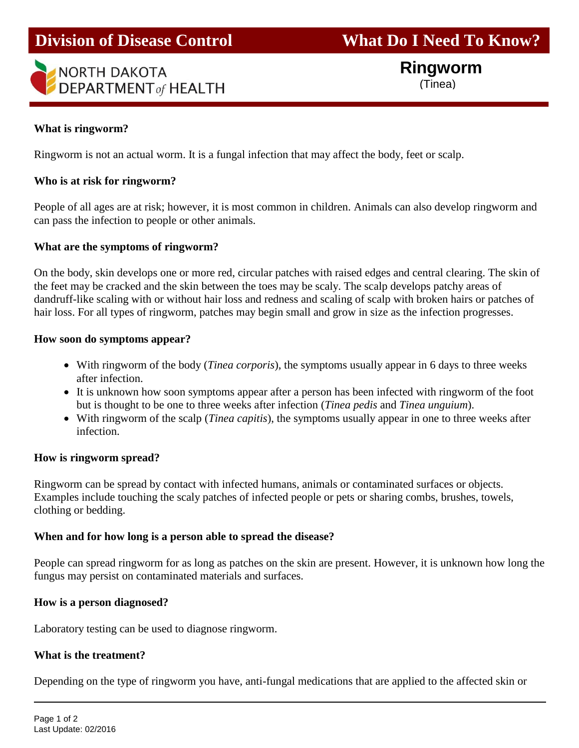# **Division of Disease Control What Do I Need To Know?**

# NORTH DAKOTA **DEPARTMENT** of HEALTH j

 **Ringworm**  (Tinea)

# **What is ringworm?**

Ringworm is not an actual worm. It is a fungal infection that may affect the body, feet or scalp.

# **Who is at risk for ringworm?**

People of all ages are at risk; however, it is most common in children. Animals can also develop ringworm and can pass the infection to people or other animals.

# **What are the symptoms of ringworm?**

On the body, skin develops one or more red, circular patches with raised edges and central clearing. The skin of the feet may be cracked and the skin between the toes may be scaly. The scalp develops patchy areas of dandruff-like scaling with or without hair loss and redness and scaling of scalp with broken hairs or patches of hair loss. For all types of ringworm, patches may begin small and grow in size as the infection progresses.

#### **How soon do symptoms appear?**

- With ringworm of the body (*Tinea corporis*), the symptoms usually appear in 6 days to three weeks after infection.
- It is unknown how soon symptoms appear after a person has been infected with ringworm of the foot but is thought to be one to three weeks after infection (*Tinea pedis* and *Tinea unguium*).
- With ringworm of the scalp (*Tinea capitis*), the symptoms usually appear in one to three weeks after infection.

# **How is ringworm spread?**

Ringworm can be spread by contact with infected humans, animals or contaminated surfaces or objects. Examples include touching the scaly patches of infected people or pets or sharing combs, brushes, towels, clothing or bedding.

# **When and for how long is a person able to spread the disease?**

People can spread ringworm for as long as patches on the skin are present. However, it is unknown how long the fungus may persist on contaminated materials and surfaces.

# **How is a person diagnosed?**

Laboratory testing can be used to diagnose ringworm.

# **What is the treatment?**

Depending on the type of ringworm you have, anti-fungal medications that are applied to the affected skin or